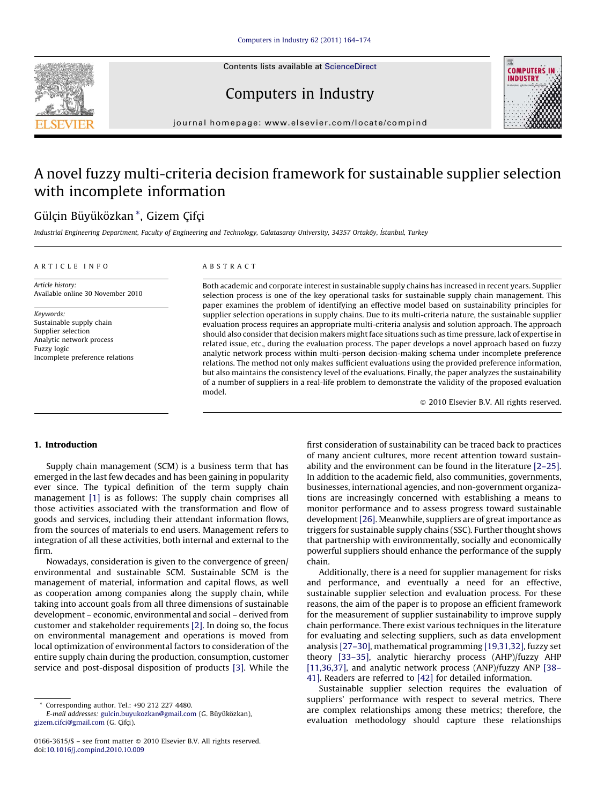

## Computers in Industry



journal homepage: www.elsevier.com/locate/compind

# A novel fuzzy multi-criteria decision framework for sustainable supplier selection with incomplete information

### Gülçin Büyüközkan\*, Gizem Çifçi

Industrial Engineering Department, Faculty of Engineering and Technology, Galatasaray University, 34357 Ortaköy, İstanbul, Turkey

#### ARTICLE INFO

#### ABSTRACT

Article history: Available online 30 November 2010

Keywords: Sustainable supply chain Supplier selection Analytic network process Fuzzy logic Incomplete preference relations Both academic and corporate interest in sustainable supply chains has increased in recent years. Supplier selection process is one of the key operational tasks for sustainable supply chain management. This paper examines the problem of identifying an effective model based on sustainability principles for supplier selection operations in supply chains. Due to its multi-criteria nature, the sustainable supplier evaluation process requires an appropriate multi-criteria analysis and solution approach. The approach should also consider that decision makers might face situations such as time pressure, lack of expertise in related issue, etc., during the evaluation process. The paper develops a novel approach based on fuzzy analytic network process within multi-person decision-making schema under incomplete preference relations. The method not only makes sufficient evaluations using the provided preference information, but also maintains the consistency level of the evaluations. Finally, the paper analyzes the sustainability of a number of suppliers in a real-life problem to demonstrate the validity of the proposed evaluation model.

 $\odot$  2010 Elsevier B.V. All rights reserved.

#### 1. Introduction

Supply chain management (SCM) is a business term that has emerged in the last few decades and has been gaining in popularity ever since. The typical definition of the term supply chain management [\[1\]](#page--1-0) is as follows: The supply chain comprises all those activities associated with the transformation and flow of goods and services, including their attendant information flows, from the sources of materials to end users. Management refers to integration of all these activities, both internal and external to the firm.

Nowadays, consideration is given to the convergence of green/ environmental and sustainable SCM. Sustainable SCM is the management of material, information and capital flows, as well as cooperation among companies along the supply chain, while taking into account goals from all three dimensions of sustainable development – economic, environmental and social – derived from customer and stakeholder requirements [\[2\].](#page--1-0) In doing so, the focus on environmental management and operations is moved from local optimization of environmental factors to consideration of the entire supply chain during the production, consumption, customer service and post-disposal disposition of products [\[3\]](#page--1-0). While the first consideration of sustainability can be traced back to practices of many ancient cultures, more recent attention toward sustainability and the environment can be found in the literature [\[2–25\].](#page--1-0) In addition to the academic field, also communities, governments, businesses, international agencies, and non-government organizations are increasingly concerned with establishing a means to monitor performance and to assess progress toward sustainable development [\[26\]](#page--1-0). Meanwhile, suppliers are of great importance as triggers for sustainable supply chains (SSC). Further thought shows that partnership with environmentally, socially and economically powerful suppliers should enhance the performance of the supply chain.

Additionally, there is a need for supplier management for risks and performance, and eventually a need for an effective, sustainable supplier selection and evaluation process. For these reasons, the aim of the paper is to propose an efficient framework for the measurement of supplier sustainability to improve supply chain performance. There exist various techniques in the literature for evaluating and selecting suppliers, such as data envelopment analysis [\[27–30\]](#page--1-0), mathematical programming [\[19,31,32\],](#page--1-0) fuzzy set theory [\[33–35\],](#page--1-0) analytic hierarchy process (AHP)/fuzzy AHP [\[11,36,37\],](#page--1-0) and analytic network process (ANP)/fuzzy ANP [\[38–](#page--1-0) [41\]](#page--1-0). Readers are referred to [\[42\]](#page--1-0) for detailed information.

Sustainable supplier selection requires the evaluation of suppliers' performance with respect to several metrics. There are complex relationships among these metrics; therefore, the evaluation methodology should capture these relationships

<sup>\*</sup> Corresponding author. Tel.: +90 212 227 4480.

E-mail addresses: [gulcin.buyukozkan@gmail.com](mailto:gulcin.buyukozkan@gmail.com) (G. Büyüközkan), [gizem.cifci@gmail.com](mailto:gizem.cifci@gmail.com) (G. Çifçi).

 $0166 - 3615$ /\$ – see front matter  $\odot$  2010 Elsevier B.V. All rights reserved. doi:[10.1016/j.compind.2010.10.009](http://dx.doi.org/10.1016/j.compind.2010.10.009)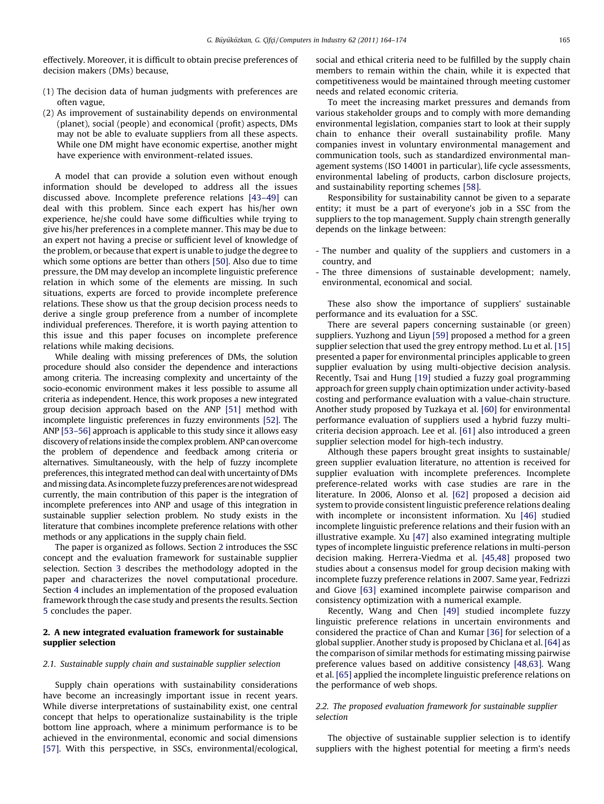effectively. Moreover, it is difficult to obtain precise preferences of decision makers (DMs) because,

- (1) The decision data of human judgments with preferences are often vague,
- (2) As improvement of sustainability depends on environmental (planet), social (people) and economical (profit) aspects, DMs may not be able to evaluate suppliers from all these aspects. While one DM might have economic expertise, another might have experience with environment-related issues.

A model that can provide a solution even without enough information should be developed to address all the issues discussed above. Incomplete preference relations [\[43–49\]](#page--1-0) can deal with this problem. Since each expert has his/her own experience, he/she could have some difficulties while trying to give his/her preferences in a complete manner. This may be due to an expert not having a precise or sufficient level of knowledge of the problem, or because that expert is unable to judge the degree to which some options are better than others [\[50\]](#page--1-0). Also due to time pressure, the DM may develop an incomplete linguistic preference relation in which some of the elements are missing. In such situations, experts are forced to provide incomplete preference relations. These show us that the group decision process needs to derive a single group preference from a number of incomplete individual preferences. Therefore, it is worth paying attention to this issue and this paper focuses on incomplete preference relations while making decisions.

While dealing with missing preferences of DMs, the solution procedure should also consider the dependence and interactions among criteria. The increasing complexity and uncertainty of the socio-economic environment makes it less possible to assume all criteria as independent. Hence, this work proposes a new integrated group decision approach based on the ANP [\[51\]](#page--1-0) method with incomplete linguistic preferences in fuzzy environments [\[52\].](#page--1-0) The ANP [\[53–56\]](#page--1-0) approach is applicable to this study since it allows easy discovery of relations inside the complex problem. ANP can overcome the problem of dependence and feedback among criteria or alternatives. Simultaneously, with the help of fuzzy incomplete preferences, this integrated method can deal with uncertainty of DMs and missing data. As incomplete fuzzy preferences are not widespread currently, the main contribution of this paper is the integration of incomplete preferences into ANP and usage of this integration in sustainable supplier selection problem. No study exists in the literature that combines incomplete preference relations with other methods or any applications in the supply chain field.

The paper is organized as follows. Section 2 introduces the SSC concept and the evaluation framework for sustainable supplier selection. Section [3](#page--1-0) describes the methodology adopted in the paper and characterizes the novel computational procedure. Section [4](#page--1-0) includes an implementation of the proposed evaluation framework through the case study and presents the results. Section [5](#page--1-0) concludes the paper.

#### 2. A new integrated evaluation framework for sustainable supplier selection

#### 2.1. Sustainable supply chain and sustainable supplier selection

Supply chain operations with sustainability considerations have become an increasingly important issue in recent years. While diverse interpretations of sustainability exist, one central concept that helps to operationalize sustainability is the triple bottom line approach, where a minimum performance is to be achieved in the environmental, economic and social dimensions [\[57\]](#page--1-0). With this perspective, in SSCs, environmental/ecological, social and ethical criteria need to be fulfilled by the supply chain members to remain within the chain, while it is expected that competitiveness would be maintained through meeting customer needs and related economic criteria.

To meet the increasing market pressures and demands from various stakeholder groups and to comply with more demanding environmental legislation, companies start to look at their supply chain to enhance their overall sustainability profile. Many companies invest in voluntary environmental management and communication tools, such as standardized environmental management systems (ISO 14001 in particular), life cycle assessments, environmental labeling of products, carbon disclosure projects, and sustainability reporting schemes [\[58\]](#page--1-0).

Responsibility for sustainability cannot be given to a separate entity; it must be a part of everyone's job in a SSC from the suppliers to the top management. Supply chain strength generally depends on the linkage between:

- The number and quality of the suppliers and customers in a country, and
- The three dimensions of sustainable development; namely, environmental, economical and social.

These also show the importance of suppliers' sustainable performance and its evaluation for a SSC.

There are several papers concerning sustainable (or green) suppliers. Yuzhong and Liyun [\[59\]](#page--1-0) proposed a method for a green supplier selection that used the grey entropy method. Lu et al. [\[15\]](#page--1-0) presented a paper for environmental principles applicable to green supplier evaluation by using multi-objective decision analysis. Recently, Tsai and Hung [\[19\]](#page--1-0) studied a fuzzy goal programming approach for green supply chain optimization under activity-based costing and performance evaluation with a value-chain structure. Another study proposed by Tuzkaya et al. [\[60\]](#page--1-0) for environmental performance evaluation of suppliers used a hybrid fuzzy multicriteria decision approach. Lee et al. [\[61\]](#page--1-0) also introduced a green supplier selection model for high-tech industry.

Although these papers brought great insights to sustainable/ green supplier evaluation literature, no attention is received for supplier evaluation with incomplete preferences. Incomplete preference-related works with case studies are rare in the literature. In 2006, Alonso et al. [\[62\]](#page--1-0) proposed a decision aid system to provide consistent linguistic preference relations dealing with incomplete or inconsistent information. Xu [\[46\]](#page--1-0) studied incomplete linguistic preference relations and their fusion with an illustrative example. Xu [\[47\]](#page--1-0) also examined integrating multiple types of incomplete linguistic preference relations in multi-person decision making. Herrera-Viedma et al. [\[45,48\]](#page--1-0) proposed two studies about a consensus model for group decision making with incomplete fuzzy preference relations in 2007. Same year, Fedrizzi and Giove [\[63\]](#page--1-0) examined incomplete pairwise comparison and consistency optimization with a numerical example.

Recently, Wang and Chen [\[49\]](#page--1-0) studied incomplete fuzzy linguistic preference relations in uncertain environments and considered the practice of Chan and Kumar [\[36\]](#page--1-0) for selection of a global supplier. Another study is proposed by Chiclana et al. [\[64\]](#page--1-0) as the comparison of similar methods for estimating missing pairwise preference values based on additive consistency [\[48,63\]](#page--1-0). Wang et al. [\[65\]](#page--1-0) applied the incomplete linguistic preference relations on the performance of web shops.

#### 2.2. The proposed evaluation framework for sustainable supplier selection

The objective of sustainable supplier selection is to identify suppliers with the highest potential for meeting a firm's needs